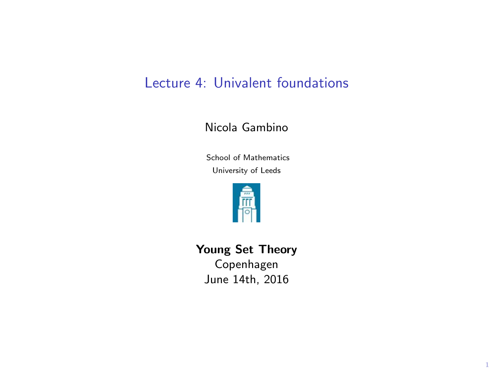## Lecture 4: Univalent foundations

## Nicola Gambino

School of Mathematics University of Leeds



Young Set Theory Copenhagen

June 14th, 2016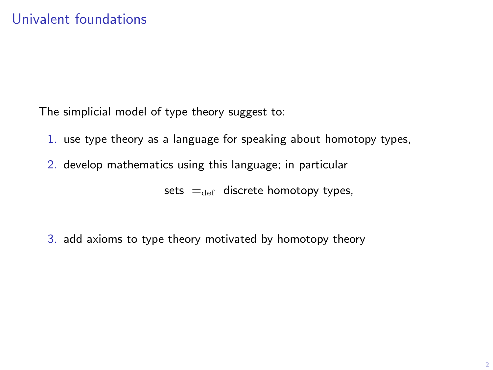The simplicial model of type theory suggest to:

- 1. use type theory as a language for speaking about homotopy types,
- 2. develop mathematics using this language; in particular

sets  $=_{def}$  discrete homotopy types,

3. add axioms to type theory motivated by homotopy theory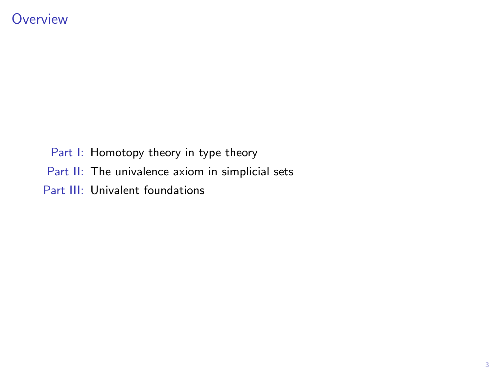Part I: Homotopy theory in type theory Part II: The univalence axiom in simplicial sets Part III: Univalent foundations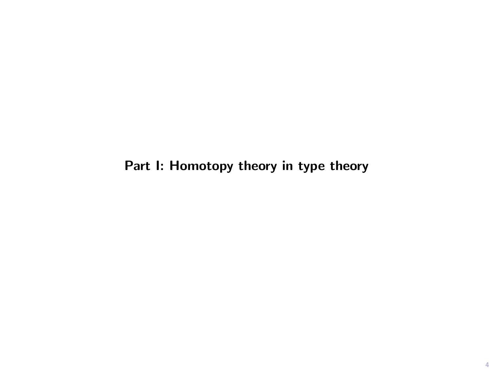Part I: Homotopy theory in type theory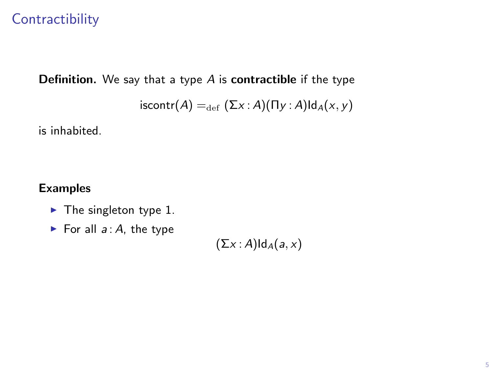## **Contractibility**

**Definition.** We say that a type  $A$  is **contractible** if the type

 $\mathsf{iscontr}(A) =_{\mathrm{def}} (\Sigma x : A)(\Pi y : A) \mathsf{Id}_A(x, y)$ 

is inhabited.

### Examples

- $\blacktriangleright$  The singleton type 1.
- For all  $a : A$ , the type

 $(\Sigma x : A)Id_A(a, x)$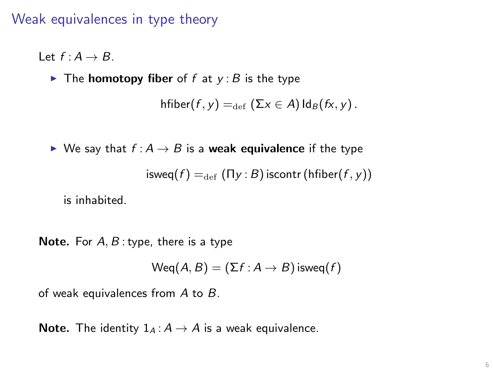## Weak equivalences in type theory

Let  $f : A \rightarrow B$ .

 $\blacktriangleright$  The **homotopy fiber** of f at  $y : B$  is the type

```
hfiber(f, y) = _{def} (\Sigma x \in A) Id<sub>B</sub>(fx, y).
```
 $\triangleright$  We say that  $f : A \rightarrow B$  is a weak equivalence if the type  $\text{isweg}(f) =_{\text{def}} (\Pi y : B) \text{iscontr} (\text{hfiber}(f, y))$ 

is inhabited.

**Note.** For  $A, B$ : type, there is a type

 $Weq(A, B) = (\Sigma f : A \rightarrow B)$  isweq $(f)$ 

of weak equivalences from  $A$  to  $B$ .

**Note.** The identity  $1_A : A \rightarrow A$  is a weak equivalence.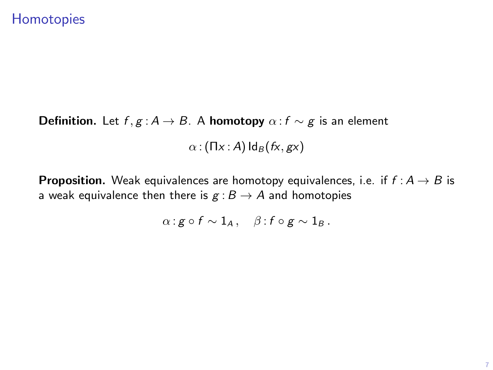## **Homotopies**

**Definition.** Let  $f, g : A \rightarrow B$ . A **homotopy**  $\alpha : f \sim g$  is an element  $\alpha$  : (Πx : A)  $\text{Id}_B(fx, gx)$ 

**Proposition.** Weak equivalences are homotopy equivalences, i.e. if  $f : A \rightarrow B$  is a weak equivalence then there is  $g : B \to A$  and homotopies

$$
\alpha: g \circ f \sim 1_A, \quad \beta: f \circ g \sim 1_B.
$$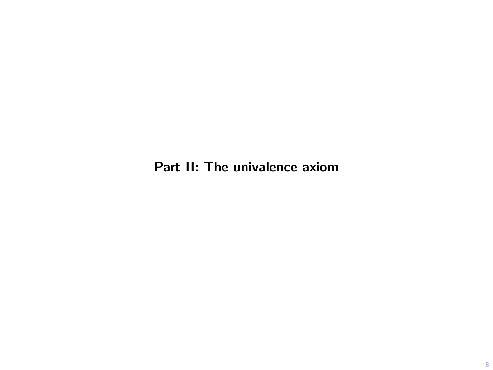Part II: The univalence axiom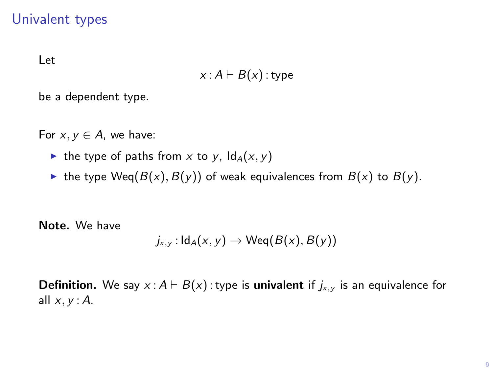## Univalent types

Let

$$
x: A \vdash B(x): \mathsf{type}
$$

be a dependent type.

For  $x, y \in A$ , we have:

- In the type of paths from x to y,  $\text{Id}_A(x, y)$
- In the type  $Weq(B(x), B(y))$  of weak equivalences from  $B(x)$  to  $B(y)$ .

Note. We have

$$
j_{x,y}: \mathsf{Id}_A(x,y) \to \mathsf{Weq}(B(x),B(y))
$$

**Definition.** We say  $x : A \vdash B(x)$ : type is **univalent** if  $j_{x,y}$  is an equivalence for all  $x, y$  : A.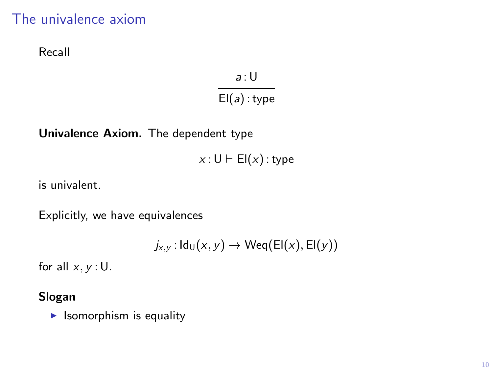## The univalence axiom

Recall

 $a:U$  $El(a)$ : type

Univalence Axiom. The dependent type

 $x : U \vdash El(x)$ : type

is univalent.

Explicitly, we have equivalences

 $j_{x,y}$ :  $\text{Id}_{\text{U}}(x, y) \rightarrow \text{Weq}(\text{El}(x), \text{El}(y))$ 

for all  $x, y : U$ .

#### Slogan

 $\blacktriangleright$  Isomorphism is equality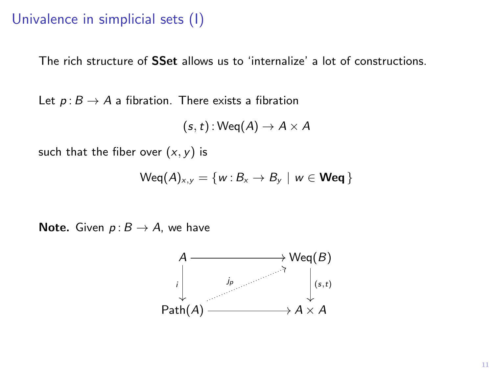## Univalence in simplicial sets (I)

The rich structure of SSet allows us to 'internalize' a lot of constructions.

Let  $p: B \to A$  a fibration. There exists a fibration

$$
(s,t): {\sf Weq}(A) \to A \times A
$$

such that the fiber over  $(x, y)$  is

$$
\mathsf{Weq}(A)_{x,y} = \{w : B_x \to B_y \mid w \in \mathsf{Weq}\}
$$

**Note.** Given  $p: B \rightarrow A$ , we have

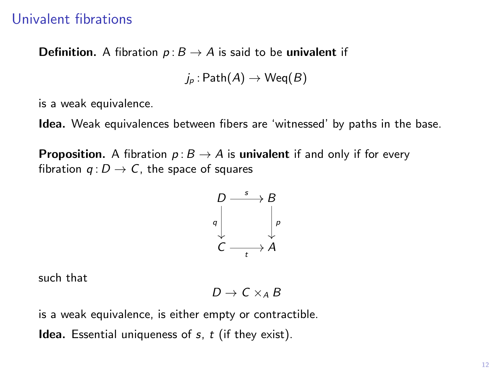## Univalent fibrations

**Definition.** A fibration  $p: B \to A$  is said to be univalent if

 $j_p : \mathsf{Path}(A) \to \mathsf{Weq}(B)$ 

is a weak equivalence.

Idea. Weak equivalences between fibers are 'witnessed' by paths in the base.

**Proposition.** A fibration  $p: B \to A$  is univalent if and only if for every fibration  $q: D \to C$ , the space of squares

$$
\begin{array}{ccc}\nD & \xrightarrow{s} & B \\
g & & \downarrow \\
C & & \downarrow \\
C & & \downarrow\n\end{array}
$$

such that

$$
D \to C \times_A B
$$

is a weak equivalence, is either empty or contractible.

**Idea.** Essential uniqueness of  $s$ ,  $t$  (if they exist).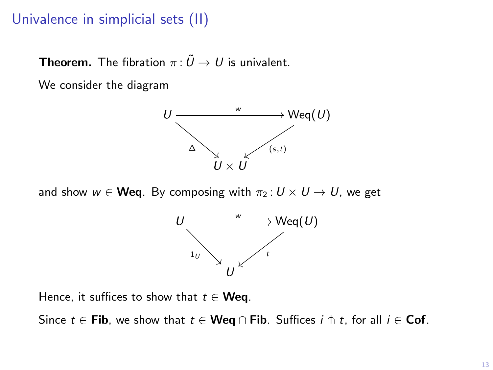## Univalence in simplicial sets (II)

**Theorem.** The fibration  $\pi : \tilde{U} \to U$  is univalent.

We consider the diagram



and show  $w \in \mathbf{Weq}$ . By composing with  $\pi_2: U \times U \rightarrow U$ , we get



Hence, it suffices to show that  $t \in W$ eq.

Since  $t \in$  Fib, we show that  $t \in$  Weq  $\cap$  Fib. Suffices  $i \pitchfork t$ , for all  $i \in$  Cof.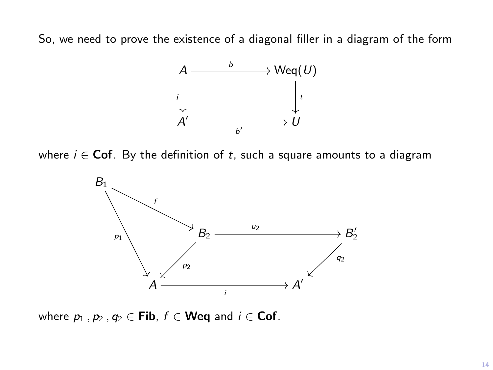So, we need to prove the existence of a diagonal filler in a diagram of the form



where  $i \in \text{Cof}$ . By the definition of t, such a square amounts to a diagram



where  $p_1$ ,  $p_2$ ,  $q_2 \in$  Fib,  $f \in$  Weq and  $i \in$  Cof.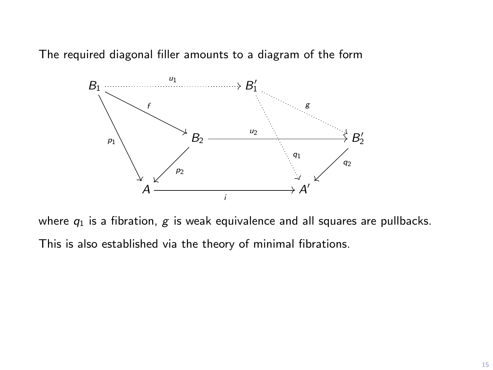The required diagonal filler amounts to a diagram of the form



where  $q_1$  is a fibration,  $g$  is weak equivalence and all squares are pullbacks. This is also established via the theory of minimal fibrations.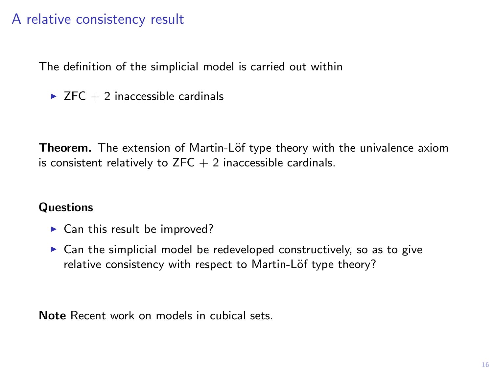## A relative consistency result

The definition of the simplicial model is carried out within

 $\triangleright$  ZFC + 2 inaccessible cardinals

Theorem. The extension of Martin-Löf type theory with the univalence axiom is consistent relatively to  $ZFC + 2$  inaccessible cardinals.

### **Questions**

- $\blacktriangleright$  Can this result be improved?
- $\triangleright$  Can the simplicial model be redeveloped constructively, so as to give relative consistency with respect to Martin-Löf type theory?

Note Recent work on models in cubical sets.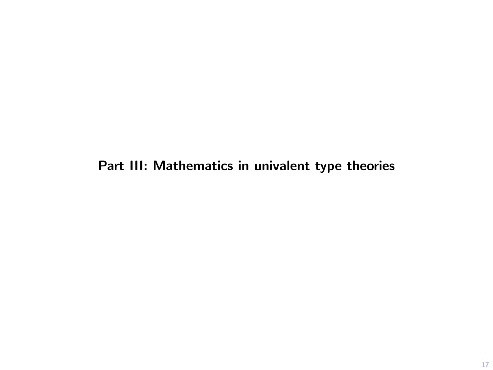## Part III: Mathematics in univalent type theories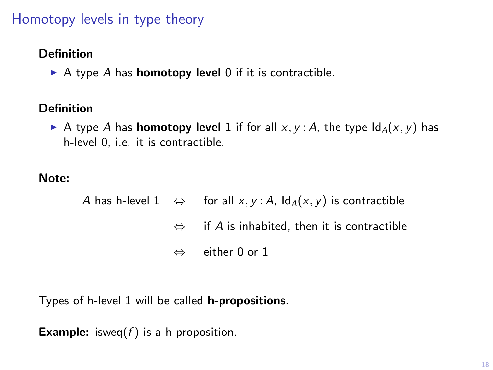## Homotopy levels in type theory

#### Definition

A type A has **homotopy level** 0 if it is contractible.

### Definition

A type A has **homotopy level** 1 if for all  $x, y$  : A, the type  $\text{Id}_A(x, y)$  has h-level 0, i.e. it is contractible.

### Note:

A has h-level  $1 \Leftrightarrow$  for all  $x, y : A$ ,  $\text{Id}_A(x, y)$  is contractible  $\Leftrightarrow$  if A is inhabited, then it is contractible ⇔ either 0 or 1

Types of h-level 1 will be called h-propositions.

**Example:** isweq( $f$ ) is a h-proposition.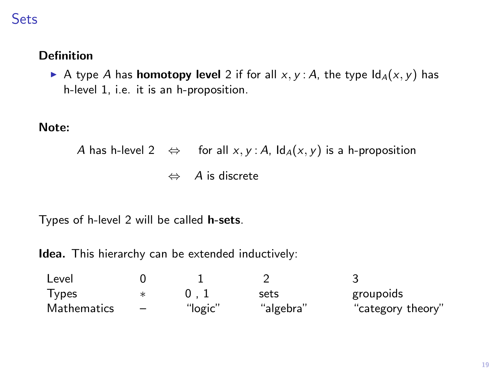## **Sets**

## Definition

A type A has **homotopy level** 2 if for all  $x, y$  : A, the type  $\text{Id}_A(x, y)$  has h-level 1, i.e. it is an h-proposition.

#### Note:

A has h-level 2 
$$
\Leftrightarrow
$$
 for all x, y : A,  $ld_A(x, y)$  is a h-proposition  
 $\Leftrightarrow$  A is discrete

Types of h-level 2 will be called h-sets.

Idea. This hierarchy can be extended inductively:

| Level              |                          |         |           |                   |
|--------------------|--------------------------|---------|-----------|-------------------|
| <b>Types</b>       |                          |         | sets      | groupoids         |
| <b>Mathematics</b> | $\overline{\phantom{0}}$ | "logic" | "algebra" | "category theory" |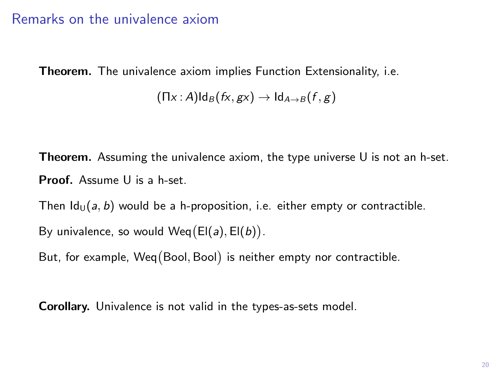## Remarks on the univalence axiom

Theorem. The univalence axiom implies Function Extensionality, i.e.

 $(\Pi x : A) \mathrm{Id}_B(fx, gx) \rightarrow \mathrm{Id}_{A \rightarrow B}(f, g)$ 

**Theorem.** Assuming the univalence axiom, the type universe  $U$  is not an h-set. Proof. Assume U is a h-set.

Then  $Id_{U}(a, b)$  would be a h-proposition, i.e. either empty or contractible.

By univalence, so would  $Weq(EI(a), EI(b))$ .

But, for example, Weq Bool, Bool is neither empty nor contractible.

Corollary. Univalence is not valid in the types-as-sets model.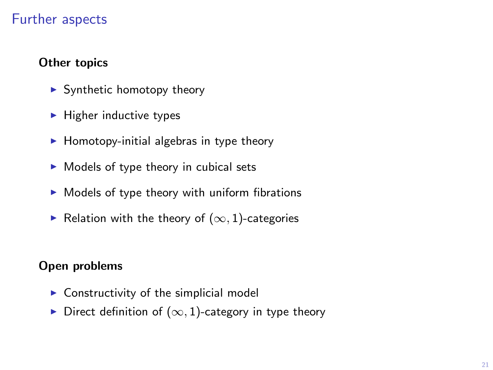## Further aspects

### Other topics

- $\blacktriangleright$  Synthetic homotopy theory
- $\blacktriangleright$  Higher inductive types
- $\blacktriangleright$  Homotopy-initial algebras in type theory
- $\triangleright$  Models of type theory in cubical sets
- $\blacktriangleright$  Models of type theory with uniform fibrations
- ► Relation with the theory of  $(\infty, 1)$ -categories

#### Open problems

- $\triangleright$  Constructivity of the simplicial model
- $\triangleright$  Direct definition of  $(\infty, 1)$ -category in type theory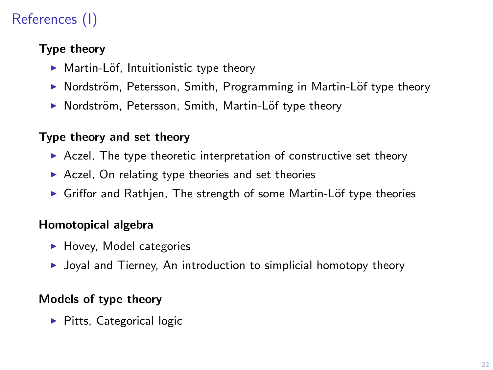# References (I)

## Type theory

- $\blacktriangleright$  Martin-Löf, Intuitionistic type theory
- ▶ Nordström, Petersson, Smith, Programming in Martin-Löf type theory
- ▶ Nordström, Petersson, Smith, Martin-Löf type theory

### Type theory and set theory

- $\triangleright$  Aczel, The type theoretic interpretation of constructive set theory
- $\triangleright$  Aczel, On relating type theories and set theories
- ▶ Griffor and Rathjen, The strength of some Martin-Löf type theories

## Homotopical algebra

- $\blacktriangleright$  Hovey, Model categories
- $\triangleright$  Joyal and Tierney, An introduction to simplicial homotopy theory

## Models of type theory

 $\blacktriangleright$  Pitts, Categorical logic